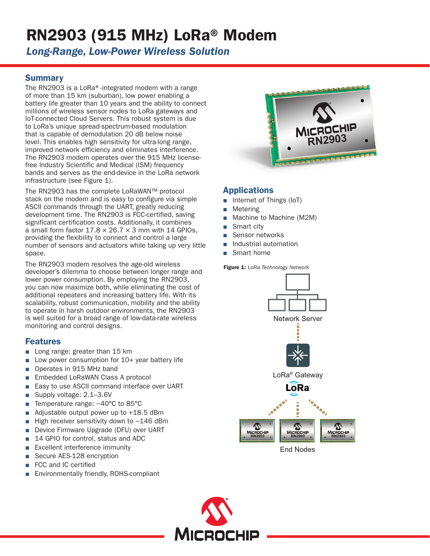# RN2903 (915 MHz) LoRa® Modem

*Long-Range, Low-Power Wireless Solution*

## **Summary**

The RN2903 is a LoRa®-integrated modem with a range of more than 15 km (suburban), low power enabling a battery life greater than 10 years and the ability to connect millions of wireless sensor nodes to LoRa gateways and IoT-connected Cloud Servers. This robust system is due to LoRa's unique spread-spectrum-based modulation that is capable of demodulation 20 dB below noise level. This enables high sensitivity for ultra-long range, improved network efficiency and eliminates interference. The RN2903 modem operates over the 915 MHz licensefree Industry Scientific and Medical (ISM) frequency bands and serves as the end-device in the LoRa network infrastructure (see Figure 1).

The RN2903 has the complete LoRaWAN™ protocol stack on the modem and is easy to configure via simple ASCII commands through the UART, greatly reducing development time. The RN2903 is FCC-certified, saving significant certification costs. Additionally, it combines a small form factor  $17.8 \times 26.7 \times 3$  mm with 14 GPIOs, providing the flexibility to connect and control a large number of sensors and actuators while taking up very little space.

The RN2903 modem resolves the age-old wireless developer's dilemma to choose between longer range and lower power consumption. By employing the RN2903, you can now maximize both, while eliminating the cost of additional repeaters and increasing battery life. With its scalability, robust communication, mobility and the ability to operate in harsh outdoor environments, the RN2903 is well suited for a broad range of low-data-rate wireless monitoring and control designs.

## Features

- Long range: greater than 15 km
- Low power consumption for 10+ year battery life
- Operates in 915 MHz band
- Embedded LoRaWAN Class A protocol
- Easy to use ASCII command interface over UART
- Supply voltage: 2.1–3.6V
- Temperature range: -40°C to 85°C
- Adjustable output power up to  $+18.5$  dBm
- High receiver sensitivity down to -146 dBm
- Device Firmware Upgrade (DFU) over UART
- 14 GPIO for control, status and ADC
- Excellent interference immunity
- Secure AES-128 encryption
- FCC and IC certified
- Environmentally friendly, ROHS-compliant



# Applications

- Internet of Things (IoT)
- **Metering**
- Machine to Machine (M2M)
- Smart city
- Sensor networks
- Industrial automation
- Smart home

#### Figure 1: *LoRa Technology Network*